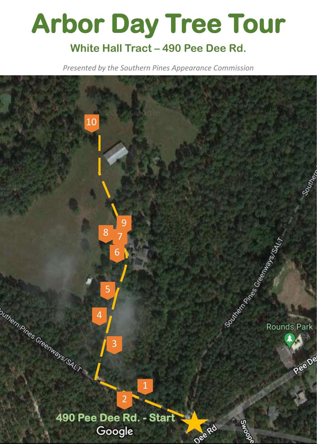## **Arbor Day Tree Tour**

## **White Hall Tract – 490 Pee Dee Rd.**

*Presented by the Southern Pines Appearance Commission*

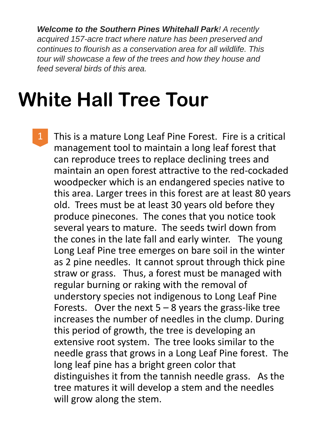*Welcome to the Southern Pines Whitehall Park! A recently acquired 157-acre tract where nature has been preserved and continues to flourish as a conservation area for all wildlife. This tour will showcase a few of the trees and how they house and feed several birds of this area.*

## **White Hall Tree Tour**

This is a mature Long Leaf Pine Forest. Fire is a critical management tool to maintain a long leaf forest that can reproduce trees to replace declining trees and maintain an open forest attractive to the red-cockaded woodpecker which is an endangered species native to this area. Larger trees in this forest are at least 80 years old. Trees must be at least 30 years old before they produce pinecones. The cones that you notice took several years to mature. The seeds twirl down from the cones in the late fall and early winter. The young Long Leaf Pine tree emerges on bare soil in the winter as 2 pine needles. It cannot sprout through thick pine straw or grass. Thus, a forest must be managed with regular burning or raking with the removal of understory species not indigenous to Long Leaf Pine Forests. Over the next  $5 - 8$  years the grass-like tree increases the number of needles in the clump. During this period of growth, the tree is developing an extensive root system. The tree looks similar to the needle grass that grows in a Long Leaf Pine forest. The long leaf pine has a bright green color that distinguishes it from the tannish needle grass. As the tree matures it will develop a stem and the needles will grow along the stem. 1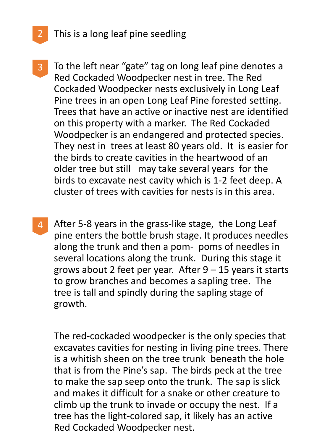

- To the left near "gate" tag on long leaf pine denotes a Red Cockaded Woodpecker nest in tree. The Red Cockaded Woodpecker nests exclusively in Long Leaf Pine trees in an open Long Leaf Pine forested setting. Trees that have an active or inactive nest are identified on this property with a marker. The Red Cockaded Woodpecker is an endangered and protected species. They nest in trees at least 80 years old. It is easier for the birds to create cavities in the heartwood of an older tree but still may take several years for the birds to excavate nest cavity which is 1-2 feet deep. A cluster of trees with cavities for nests is in this area. 3
- After 5-8 years in the grass-like stage, the Long Leaf pine enters the bottle brush stage. It produces needles along the trunk and then a pom- poms of needles in several locations along the trunk. During this stage it grows about 2 feet per year. After  $9 - 15$  years it starts to grow branches and becomes a sapling tree. The tree is tall and spindly during the sapling stage of growth. 4

The red-cockaded woodpecker is the only species that excavates cavities for nesting in living pine trees. There is a whitish sheen on the tree trunk beneath the hole that is from the Pine's sap. The birds peck at the tree to make the sap seep onto the trunk. The sap is slick and makes it difficult for a snake or other creature to climb up the trunk to invade or occupy the nest. If a tree has the light-colored sap, it likely has an active Red Cockaded Woodpecker nest.

2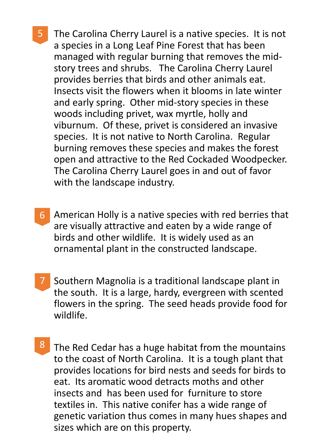- The Carolina Cherry Laurel is a native species. It is not a species in a Long Leaf Pine Forest that has been managed with regular burning that removes the midstory trees and shrubs. The Carolina Cherry Laurel provides berries that birds and other animals eat. Insects visit the flowers when it blooms in late winter and early spring. Other mid-story species in these woods including privet, wax myrtle, holly and viburnum. Of these, privet is considered an invasive species. It is not native to North Carolina. Regular burning removes these species and makes the forest open and attractive to the Red Cockaded Woodpecker. The Carolina Cherry Laurel goes in and out of favor with the landscape industry. 5
- American Holly is a native species with red berries that are visually attractive and eaten by a wide range of birds and other wildlife. It is widely used as an ornamental plant in the constructed landscape. 6
- Southern Magnolia is a traditional landscape plant in the south. It is a large, hardy, evergreen with scented flowers in the spring. The seed heads provide food for wildlife. 7
- The Red Cedar has a huge habitat from the mountains to the coast of North Carolina. It is a tough plant that provides locations for bird nests and seeds for birds to eat. Its aromatic wood detracts moths and other insects and has been used for furniture to store textiles in. This native conifer has a wide range of genetic variation thus comes in many hues shapes and sizes which are on this property. 8